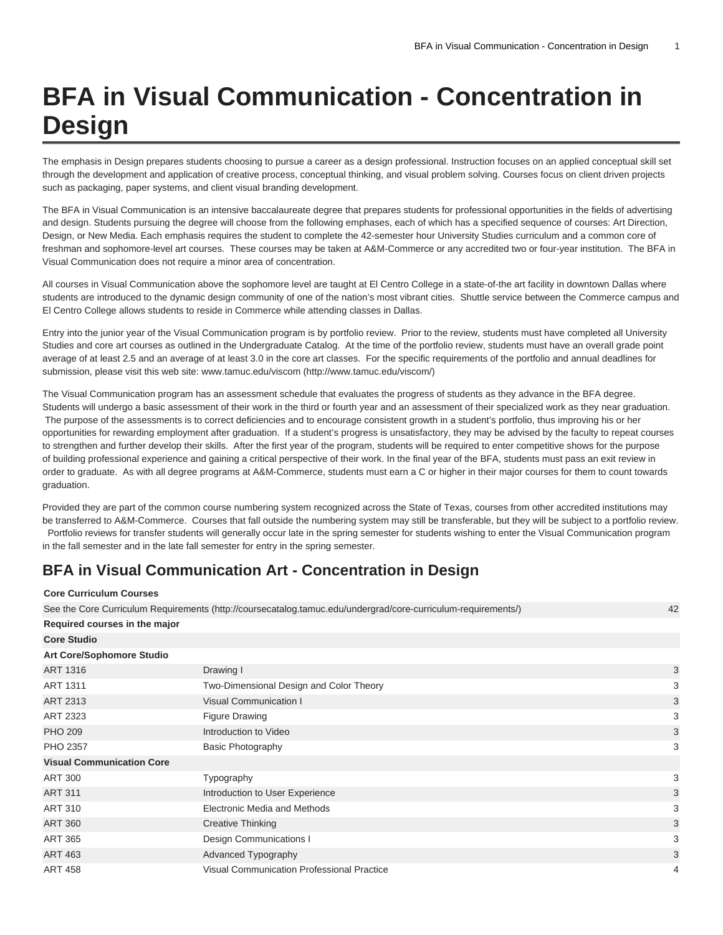## **BFA in Visual Communication - Concentration in Design**

The emphasis in Design prepares students choosing to pursue a career as a design professional. Instruction focuses on an applied conceptual skill set through the development and application of creative process, conceptual thinking, and visual problem solving. Courses focus on client driven projects such as packaging, paper systems, and client visual branding development.

The BFA in Visual Communication is an intensive baccalaureate degree that prepares students for professional opportunities in the fields of advertising and design. Students pursuing the degree will choose from the following emphases, each of which has a specified sequence of courses: Art Direction, Design, or New Media. Each emphasis requires the student to complete the 42-semester hour University Studies curriculum and a common core of freshman and sophomore-level art courses. These courses may be taken at A&M-Commerce or any accredited two or four-year institution. The BFA in Visual Communication does not require a minor area of concentration.

All courses in Visual Communication above the sophomore level are taught at El Centro College in a state-of-the art facility in downtown Dallas where students are introduced to the dynamic design community of one of the nation's most vibrant cities. Shuttle service between the Commerce campus and El Centro College allows students to reside in Commerce while attending classes in Dallas.

Entry into the junior year of the Visual Communication program is by portfolio review. Prior to the review, students must have completed all University Studies and core art courses as outlined in the Undergraduate Catalog. At the time of the portfolio review, students must have an overall grade point average of at least 2.5 and an average of at least 3.0 in the core art classes. For the specific requirements of the portfolio and annual deadlines for submission, please visit this web site: [www.tamuc.edu/viscom](http://www.tamuc.edu/viscom/) ([http://www.tamuc.edu/viscom/\)](http://www.tamuc.edu/viscom/)

The Visual Communication program has an assessment schedule that evaluates the progress of students as they advance in the BFA degree. Students will undergo a basic assessment of their work in the third or fourth year and an assessment of their specialized work as they near graduation. The purpose of the assessments is to correct deficiencies and to encourage consistent growth in a student's portfolio, thus improving his or her opportunities for rewarding employment after graduation. If a student's progress is unsatisfactory, they may be advised by the faculty to repeat courses to strengthen and further develop their skills. After the first year of the program, students will be required to enter competitive shows for the purpose of building professional experience and gaining a critical perspective of their work. In the final year of the BFA, students must pass an exit review in order to graduate. As with all degree programs at A&M-Commerce, students must earn a C or higher in their major courses for them to count towards graduation.

Provided they are part of the common course numbering system recognized across the State of Texas, courses from other accredited institutions may be transferred to A&M-Commerce. Courses that fall outside the numbering system may still be transferable, but they will be subject to a portfolio review. Portfolio reviews for transfer students will generally occur late in the spring semester for students wishing to enter the Visual Communication program in the fall semester and in the late fall semester for entry in the spring semester.

## **BFA in Visual Communication Art - Concentration in Design**

**Core Curriculum Courses**

|                                  | See the Core Curriculum Requirements (http://coursecatalog.tamuc.edu/undergrad/core-curriculum-requirements/) | 42 |
|----------------------------------|---------------------------------------------------------------------------------------------------------------|----|
| Required courses in the major    |                                                                                                               |    |
| <b>Core Studio</b>               |                                                                                                               |    |
| Art Core/Sophomore Studio        |                                                                                                               |    |
| ART 1316                         | Drawing I                                                                                                     | 3  |
| ART 1311                         | Two-Dimensional Design and Color Theory                                                                       | 3  |
| ART 2313                         | <b>Visual Communication I</b>                                                                                 | 3  |
| <b>ART 2323</b>                  | <b>Figure Drawing</b>                                                                                         | 3  |
| <b>PHO 209</b>                   | Introduction to Video                                                                                         | 3  |
| PHO 2357                         | <b>Basic Photography</b>                                                                                      | 3  |
| <b>Visual Communication Core</b> |                                                                                                               |    |
| <b>ART 300</b>                   | Typography                                                                                                    | 3  |
| <b>ART 311</b>                   | Introduction to User Experience                                                                               | 3  |
| <b>ART 310</b>                   | Electronic Media and Methods                                                                                  | 3  |
| <b>ART 360</b>                   | <b>Creative Thinking</b>                                                                                      | 3  |
| <b>ART 365</b>                   | Design Communications I                                                                                       | 3  |
| <b>ART 463</b>                   | Advanced Typography                                                                                           | 3  |
| <b>ART 458</b>                   | Visual Communication Professional Practice                                                                    | 4  |